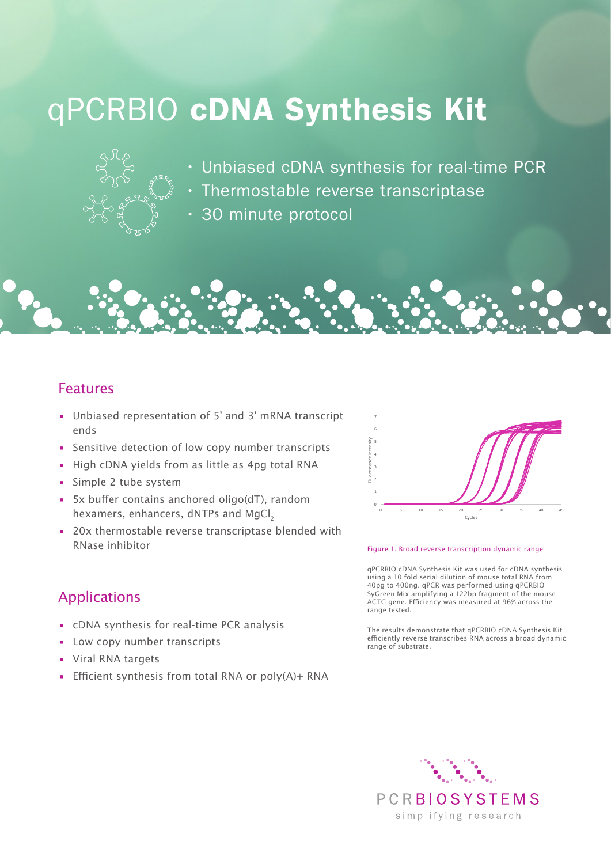# qPCRBIO cDNA Synthesis Kit



- Unbiased cDNA synthesis for real-time PCR
- Thermostable reverse transcriptase
- 30 minute protocol

### Features

- Unbiased representation of 5' and 3' mRNA transcript ends
- Sensitive detection of low copy number transcripts
- High cDNA yields from as little as 4pg total RNA
- Simple 2 tube system
- 5x buffer contains anchored oligo(dT), random hexamers, enhancers, dNTPs and MgCl<sub>2</sub>
- 20x thermostable reverse transcriptase blended with RNase inhibitor



#### Figure 1. Broad reverse transcription dynamic range

qPCRBIO cDNA Synthesis Kit was used for cDNA synthesis using a 10 fold serial dilution of mouse total RNA from 40pg to 400ng. qPCR was performed using qPCRBIO SyGreen Mix amplifying a 122bp fragment of the mouse ACTG gene. Efficiency was measured at 96% across the range tested.

# Applications

- cDNA synthesis for real-time PCR analysis
- Low copy number transcripts
- Viral RNA targets
- Efficient synthesis from total RNA or poly(A)+ RNA

The results demonstrate that qPCRBIO cDNA Synthesis Kit efficiently reverse transcribes RNA across a broad dynamic range of substrate.